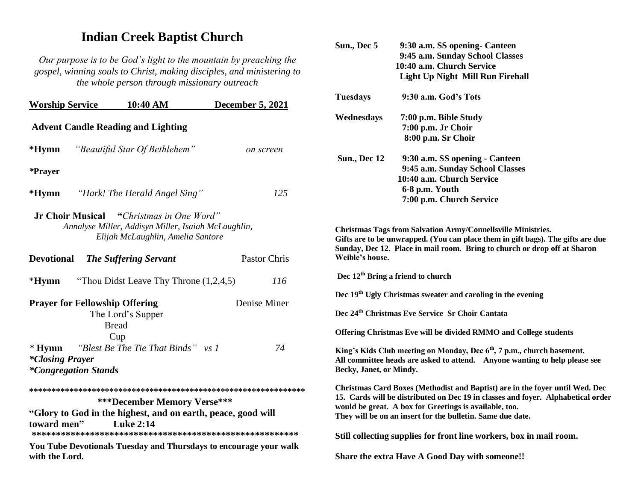## **Indian Creek Baptist Church**

*Our purpose is to be God's light to the mountain by preaching the gospel, winning souls to Christ, making disciples, and ministering to the whole person through missionary outreach*

| <b>Worship Service</b>                                                                                                                      | 10:40 AM                                                                          | December 5, 2021                                                  |  |
|---------------------------------------------------------------------------------------------------------------------------------------------|-----------------------------------------------------------------------------------|-------------------------------------------------------------------|--|
| <b>Advent Candle Reading and Lighting</b>                                                                                                   |                                                                                   |                                                                   |  |
| $*Hymn$                                                                                                                                     | "Beautiful Star Of Bethlehem"                                                     | on screen                                                         |  |
| *Prayer                                                                                                                                     |                                                                                   |                                                                   |  |
| $*Hymn$                                                                                                                                     | "Hark! The Herald Angel Sing"                                                     | 125                                                               |  |
| <b>Jr Choir Musical</b> "Christmas in One Word"<br>Annalyse Miller, Addisyn Miller, Isaiah McLaughlin,<br>Elijah McLaughlin, Amelia Santore |                                                                                   |                                                                   |  |
| <b>Devotional</b>                                                                                                                           | <b>The Suffering Servant</b>                                                      | Pastor Chris                                                      |  |
| $*Hvmn$                                                                                                                                     | "Thou Didst Leave Thy Throne $(1,2,4,5)$                                          | 116                                                               |  |
|                                                                                                                                             | <b>Prayer for Fellowship Offering</b><br>The Lord's Supper<br><b>Bread</b><br>Cup | Denise Miner                                                      |  |
| $*Hymn$<br><i>*Closing Prayer</i>                                                                                                           | "Blest Be The Tie That Binds" vs 1<br><i>*Congregation Stands</i>                 | 74                                                                |  |
|                                                                                                                                             | ***December Memory Verse***                                                       |                                                                   |  |
| "Glory to God in the highest, and on earth, peace, good will<br>toward men"<br><b>Luke 2:14</b>                                             |                                                                                   |                                                                   |  |
| with the Lord.                                                                                                                              |                                                                                   | You Tube Devotionals Tuesday and Thursdays to encourage your walk |  |

| Sun., Dec 5                                                                                                                                                                                                                                                                              | 9:30 a.m. SS opening- Canteen<br>9:45 a.m. Sunday School Classes<br>10:40 a.m. Church Service<br><b>Light Up Night Mill Run Firehall</b>                                                                                     |  |  |
|------------------------------------------------------------------------------------------------------------------------------------------------------------------------------------------------------------------------------------------------------------------------------------------|------------------------------------------------------------------------------------------------------------------------------------------------------------------------------------------------------------------------------|--|--|
| <b>Tuesdays</b>                                                                                                                                                                                                                                                                          | 9:30 a.m. God's Tots                                                                                                                                                                                                         |  |  |
| Wednesdays                                                                                                                                                                                                                                                                               | 7:00 p.m. Bible Study<br>7:00 p.m. Jr Choir<br>8:00 p.m. Sr Choir                                                                                                                                                            |  |  |
| <b>Sun., Dec 12</b>                                                                                                                                                                                                                                                                      | 9:30 a.m. SS opening - Canteen<br>9:45 a.m. Sunday School Classes<br>10:40 a.m. Church Service<br>6-8 p.m. Youth<br>7:00 p.m. Church Service                                                                                 |  |  |
| Weible's house.                                                                                                                                                                                                                                                                          | Christmas Tags from Salvation Army/Connellsville Ministries.<br>Gifts are to be unwrapped. (You can place them in gift bags). The gifts are due<br>Sunday, Dec 12. Place in mail room. Bring to church or drop off at Sharon |  |  |
|                                                                                                                                                                                                                                                                                          | Dec 12 <sup>th</sup> Bring a friend to church                                                                                                                                                                                |  |  |
|                                                                                                                                                                                                                                                                                          | Dec 19 <sup>th</sup> Ugly Christmas sweater and caroling in the evening                                                                                                                                                      |  |  |
|                                                                                                                                                                                                                                                                                          | Dec 24 <sup>th</sup> Christmas Eve Service Sr Choir Cantata                                                                                                                                                                  |  |  |
|                                                                                                                                                                                                                                                                                          | Offering Christmas Eve will be divided RMMO and College students                                                                                                                                                             |  |  |
| Becky, Janet, or Mindy.                                                                                                                                                                                                                                                                  | King's Kids Club meeting on Monday, Dec 6 <sup>th</sup> , 7 p.m., church basement.<br>All committee heads are asked to attend. Anyone wanting to help please see                                                             |  |  |
| Christmas Card Boxes (Methodist and Baptist) are in the foyer until Wed. Dec<br>15. Cards will be distributed on Dec 19 in classes and foyer. Alphabetical order<br>would be great. A box for Greetings is available, too.<br>They will be on an insert for the bulletin. Same due date. |                                                                                                                                                                                                                              |  |  |
|                                                                                                                                                                                                                                                                                          | Still collecting supplies for front line workers, box in mail room.                                                                                                                                                          |  |  |
|                                                                                                                                                                                                                                                                                          | Share the extra Have A Good Day with someone!!                                                                                                                                                                               |  |  |